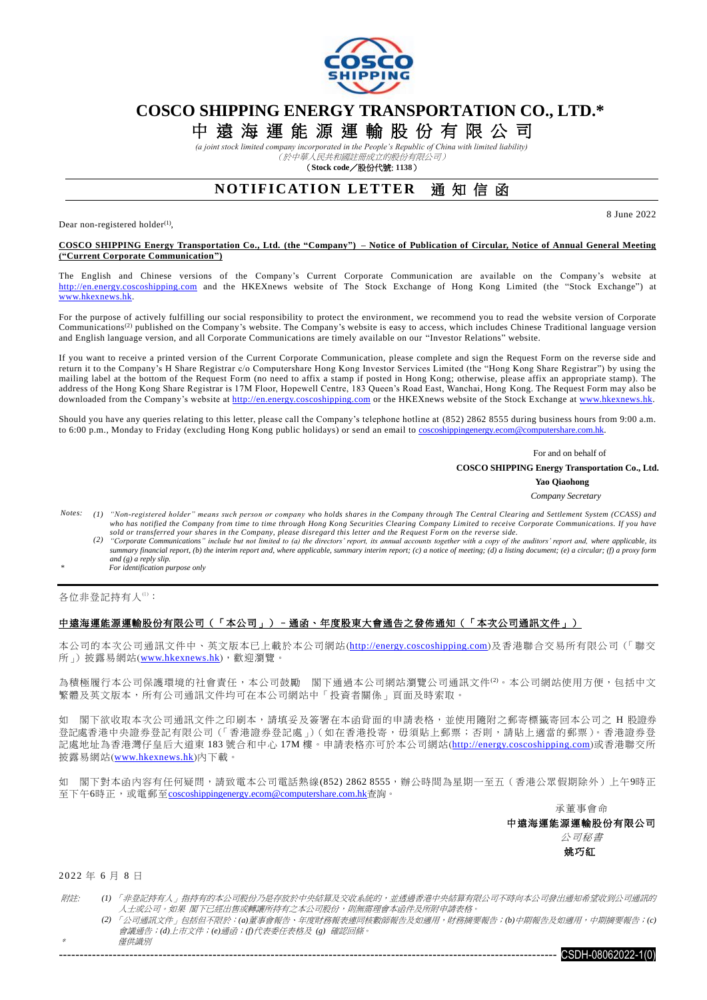

### **COSCO SHIPPING ENERGY TRANSPORTATION CO., LTD.\***

# 中 遠 海 運 能 源 運 輸 股 份 有 限 公 司

*(a joint stock limited company incorporated in the People's Republic of China with limited liability)* (於中華人民共和國註冊成立的股份有限公司)

(**Stock code**/股份代號: **1138**)

### **NOTIFICATION LETTER 通知信函**

Dear non-registered holder $^{(1)}$ ,

8 June 2022

#### **COSCO SHIPPING Energy Transportation Co., Ltd. (the "Company") – Notice of Publication of Circular, Notice of Annual General Meeting ("Current Corporate Communication")**

The English and Chinese versions of the Company's Current Corporate Communication are available on the Company's website at [http://en.energy.coscoshipping.com](http://en.energy.coscoshipping.com/) and the HKEXnews website of The Stock Exchange of Hong Kong Limited (the "Stock Exchange") at www.hkexnews.hk.

For the purpose of actively fulfilling our social responsibility to protect the environment, we recommend you to read the website version of Corporate Communications<sup>(2)</sup> published on the Company's website. The Company's website is easy to access, which includes Chinese Traditional language version and English language version, and all Corporate Communications are timely available on our "Investor Relations" website.

If you want to receive a printed version of the Current Corporate Communication, please complete and sign the Request Form on the reverse side and return it to the Company's H Share Registrar c/o Computershare Hong Kong Investor Services Limited (the "Hong Kong Share Registrar") by using the mailing label at the bottom of the Request Form (no need to affix a stamp if posted in Hong Kong; otherwise, please affix an appropriate stamp). The address of the Hong Kong Share Registrar is 17M Floor, Hopewell Centre, 183 Queen's Road East, Wanchai, Hong Kong. The Request Form may also be downloaded from the Company's website at [http://en.energy.coscoshipping.com](http://en.energy.coscoshipping.com/) or the HKEXnews website of the Stock Exchange at [www.hkexnews.hk.](http://www.hkexnews.hk/)

Should you have any queries relating to this letter, please call the Company's telephone hotline at (852) 2862 8555 during business hours from 9:00 a.m. to 6:00 p.m., Monday to Friday (excluding Hong Kong public holidays) or send an email to coscoshippingenergy.ecom@computershare.com.hk

> For and on behalf of  **COSCO SHIPPING Energy Transportation Co., Ltd.**

**Yao Qiaohong**

- *Company Secretary*
- *Notes: (1) "Non-registered holder" means such person or company who holds shares in the Company through The Central Clearing and Settlement System (CCASS) and who has notified the Company from time to time through Hong Kong Securities Clearing Company Limited to receive Corporate Communications. If you have sold or transferred your shares in the Company, please disregard this letter and the Request Form on the reverse side.*
	- (2) "Corporate Communications" include but not limited to (a) the directors' report, its annual accounts together with a copy of the auditors' report and, where applicable, its summary financial report, (b) the interim re *and (g) a reply slip.*
- *\* For identification purpose only*

各位非登記持有人(1):

#### 中遠海運能源運輸股份有限公司(「本公司」)–通函、年度股東大會通告之發佈通知(「本次公司通訊文件」)

本公司的本次公司通訊文件中、英文版本已上載於本公司網站([http://energy.coscoshipping.com](http://energy.coscoshipping.com/))及香港聯合交易所有限公司(「聯交 所」)披露易網站([www.hkexnews.hk](http://www.hkexnews.hk/index_c.htm)),歡迎瀏覽。

為積極履行本公司保護環境的社會責任,本公司鼓勵 閣下通過本公司網站瀏覽公司通訊文件(2)。本公司網站使用方便,包括中文 繁體及英文版本,所有公司通訊文件均可在本公司網站中「投資者關係」頁面及時索取。

如 閣下欲收取本次公司通訊文件之印刷本,請填妥及簽署在本函背面的申請表格,並使用隨附之郵寄標籤寄回本公司之 H 股證券 .<br>登記處香港中央證券登記有限公司(「香港證券登記處」)(如在香港投寄,毋須貼上郵票;否則,請貼上適當的郵票)。香港證券登 記處地址為香港灣仔皇后大道東 183 號合和中心 17M 樓。申請表格亦可於本公司網站([http://energy.coscoshipping.com](http://energy.coscoshipping.com/))或香港聯交所 披露易網站([www.hkexnews.hk](http://www.hkexnews.hk/index_c.htm))內下載。

如 閣下對本函內容有任何疑問,請致電本公司電話熱線(852) 2862 8555,辦公時間為星期一至五(香港公眾假期除外)上午9時正 至下午6時正,或電郵至[coscoshippingenergy.ecom@computershare.com.hk](mailto:coscoshippingenergy.ecom@computershare.com.hk)查詢。

承董事會命

中遠海運能源運輸股份有限公司 公司秘書

姚巧紅

2 0 2 2 年 6 月 8 日

\*

- 附註: *(1)* 「非登記持有人」指持有的本公司股份乃是存放於中央結算及交收系統的,並透過香港中央結算有限公司不時向本公司發出通知希望收到公司通訊的 人士或公司。如果 閣下已經出售或轉讓所持有之本公司股份,則無需理會本函件及所附申請表格。
	- *(2)* 「公司通訊文件」包括但不限於:*(a)*董事會報告、年度財務報表連同核數師報告及如適用,財務摘要報告;*(b)*中期報告及如適用,中期摘要報告;*(c)* 會議通告;*(d)*上市文件;*(e)*通函;*(f)*代表委任表格及 *(g)* 確認回條。 僅供識別
		- ------------------------------------------------------------------------------------------------------------------------ CSDH-08062022-1(0)